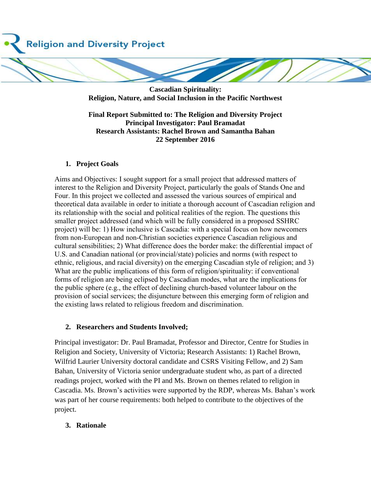

**Cascadian Spirituality: Religion, Nature, and Social Inclusion in the Pacific Northwest** 

**Final Report Submitted to: The Religion and Diversity Project Principal Investigator: Paul Bramadat Research Assistants: Rachel Brown and Samantha Bahan 22 September 2016**

#### **1. Project Goals**

Aims and Objectives: I sought support for a small project that addressed matters of interest to the Religion and Diversity Project, particularly the goals of Stands One and Four. In this project we collected and assessed the various sources of empirical and theoretical data available in order to initiate a thorough account of Cascadian religion and its relationship with the social and political realities of the region. The questions this smaller project addressed (and which will be fully considered in a proposed SSHRC project) will be: 1) How inclusive is Cascadia: with a special focus on how newcomers from non-European and non-Christian societies experience Cascadian religious and cultural sensibilities; 2) What difference does the border make: the differential impact of U.S. and Canadian national (or provincial/state) policies and norms (with respect to ethnic, religious, and racial diversity) on the emerging Cascadian style of religion; and 3) What are the public implications of this form of religion/spirituality: if conventional forms of religion are being eclipsed by Cascadian modes, what are the implications for the public sphere (e.g., the effect of declining church-based volunteer labour on the provision of social services; the disjuncture between this emerging form of religion and the existing laws related to religious freedom and discrimination.

#### **2. Researchers and Students Involved;**

Principal investigator: Dr. Paul Bramadat, Professor and Director, Centre for Studies in Religion and Society, University of Victoria; Research Assistants: 1) Rachel Brown, Wilfrid Laurier University doctoral candidate and CSRS Visiting Fellow, and 2) Sam Bahan, University of Victoria senior undergraduate student who, as part of a directed readings project, worked with the PI and Ms. Brown on themes related to religion in Cascadia. Ms. Brown's activities were supported by the RDP, whereas Ms. Bahan's work was part of her course requirements: both helped to contribute to the objectives of the project.

#### **3. Rationale**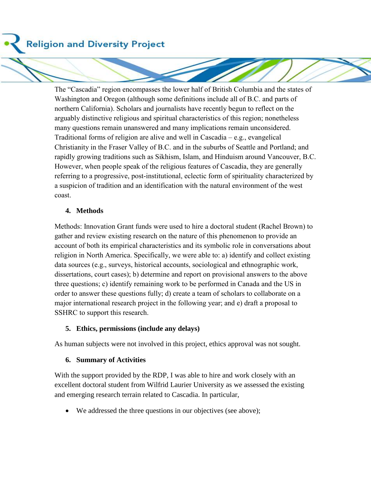**Religion and Diversity Project** 

The "Cascadia" region encompasses the lower half of British Columbia and the states of Washington and Oregon (although some definitions include all of B.C. and parts of northern California). Scholars and journalists have recently begun to reflect on the arguably distinctive religious and spiritual characteristics of this region; nonetheless many questions remain unanswered and many implications remain unconsidered. Traditional forms of religion are alive and well in Cascadia – e.g., evangelical Christianity in the Fraser Valley of B.C. and in the suburbs of Seattle and Portland; and rapidly growing traditions such as Sikhism, Islam, and Hinduism around Vancouver, B.C. However, when people speak of the religious features of Cascadia, they are generally referring to a progressive, post-institutional, eclectic form of spirituality characterized by a suspicion of tradition and an identification with the natural environment of the west coast.

### **4. Methods**

Methods: Innovation Grant funds were used to hire a doctoral student (Rachel Brown) to gather and review existing research on the nature of this phenomenon to provide an account of both its empirical characteristics and its symbolic role in conversations about religion in North America. Specifically, we were able to: a) identify and collect existing data sources (e.g., surveys, historical accounts, sociological and ethnographic work, dissertations, court cases); b) determine and report on provisional answers to the above three questions; c) identify remaining work to be performed in Canada and the US in order to answer these questions fully; d) create a team of scholars to collaborate on a major international research project in the following year; and e) draft a proposal to SSHRC to support this research.

#### **5. Ethics, permissions (include any delays)**

As human subjects were not involved in this project, ethics approval was not sought.

#### **6. Summary of Activities**

With the support provided by the RDP, I was able to hire and work closely with an excellent doctoral student from Wilfrid Laurier University as we assessed the existing and emerging research terrain related to Cascadia. In particular,

We addressed the three questions in our objectives (see above);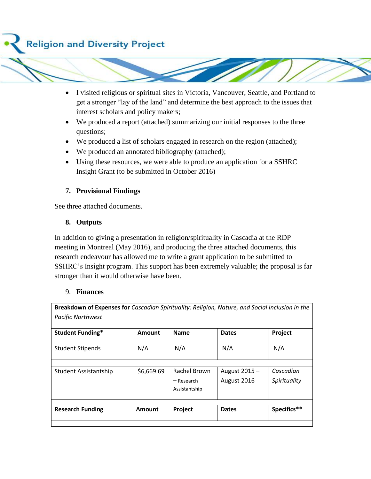

- I visited religious or spiritual sites in Victoria, Vancouver, Seattle, and Portland to get a stronger "lay of the land" and determine the best approach to the issues that interest scholars and policy makers;
- We produced a report (attached) summarizing our initial responses to the three questions;
- We produced a list of scholars engaged in research on the region (attached);
- We produced an annotated bibliography (attached);
- Using these resources, we were able to produce an application for a SSHRC Insight Grant (to be submitted in October 2016)

# **7. Provisional Findings**

See three attached documents.

## **8. Outputs**

In addition to giving a presentation in religion/spirituality in Cascadia at the RDP meeting in Montreal (May 2016), and producing the three attached documents, this research endeavour has allowed me to write a grant application to be submitted to SSHRC's Insight program. This support has been extremely valuable; the proposal is far stronger than it would otherwise have been.

## 9. **Finances**

**Breakdown of Expenses for** *Cascadian Spirituality: Religion, Nature, and Social Inclusion in the Pacific Northwest*

| <b>Student Funding*</b> | Amount     | <b>Name</b>                                   | <b>Dates</b>                | Project                   |
|-------------------------|------------|-----------------------------------------------|-----------------------------|---------------------------|
| <b>Student Stipends</b> | N/A        | N/A                                           | N/A                         | N/A                       |
| Student Assistantship   | \$6,669.69 | Rachel Brown<br>$-$ Research<br>Assistantship | August 2015-<br>August 2016 | Cascadian<br>Spirituality |
| <b>Research Funding</b> | Amount     | Project                                       | <b>Dates</b>                | Specifics**               |